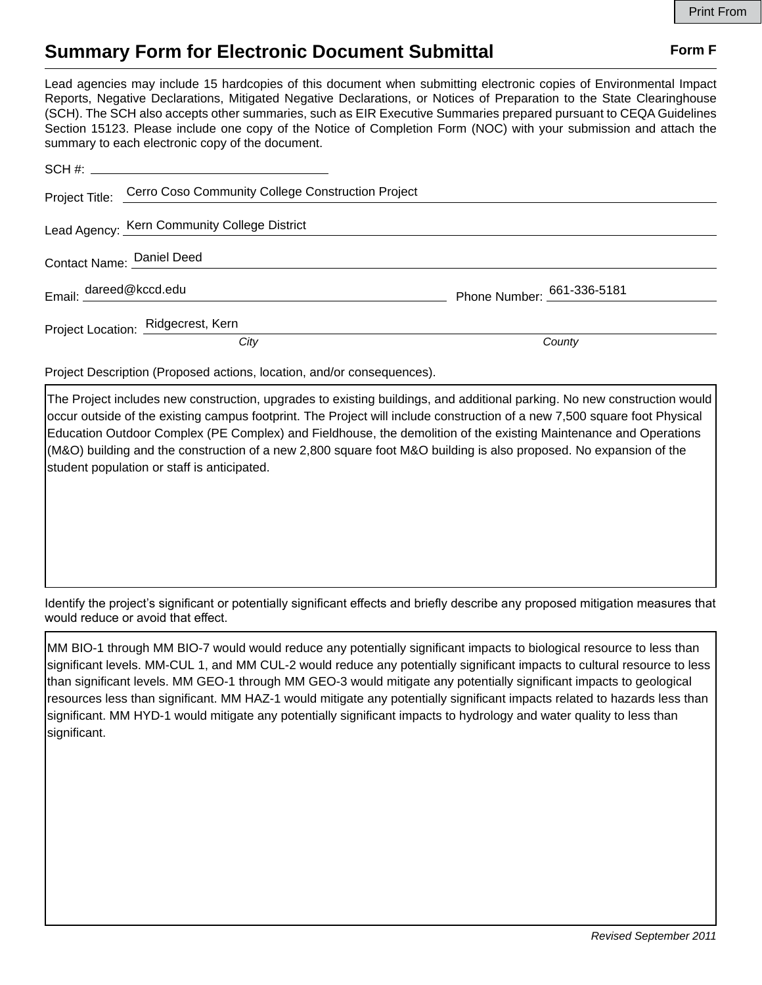## **Summary Form for Electronic Document Submittal Form F Form F**

Lead agencies may include 15 hardcopies of this document when submitting electronic copies of Environmental Impact Reports, Negative Declarations, Mitigated Negative Declarations, or Notices of Preparation to the State Clearinghouse (SCH). The SCH also accepts other summaries, such as EIR Executive Summaries prepared pursuant to CEQA Guidelines Section 15123. Please include one copy of the Notice of Completion Form (NOC) with your submission and attach the summary to each electronic copy of the document.

|                           | Project Title: Cerro Coso Community College Construction Project |                            |
|---------------------------|------------------------------------------------------------------|----------------------------|
|                           | Lead Agency: Kern Community College District                     |                            |
| Contact Name: Daniel Deed |                                                                  |                            |
| Email: dareed@kccd.edu    |                                                                  | Phone Number: 661-336-5181 |
|                           | Project Location: Ridgecrest, Kern                               |                            |
|                           | City                                                             | County                     |

Project Description (Proposed actions, location, and/or consequences).

The Project includes new construction, upgrades to existing buildings, and additional parking. No new construction would occur outside of the existing campus footprint. The Project will include construction of a new 7,500 square foot Physical Education Outdoor Complex (PE Complex) and Fieldhouse, the demolition of the existing Maintenance and Operations (M&O) building and the construction of a new 2,800 square foot M&O building is also proposed. No expansion of the student population or staff is anticipated.

Identify the project's significant or potentially significant effects and briefly describe any proposed mitigation measures that would reduce or avoid that effect.

MM BIO-1 through MM BIO-7 would would reduce any potentially significant impacts to biological resource to less than significant levels. MM-CUL 1, and MM CUL-2 would reduce any potentially significant impacts to cultural resource to less than significant levels. MM GEO-1 through MM GEO-3 would mitigate any potentially significant impacts to geological resources less than significant. MM HAZ-1 would mitigate any potentially significant impacts related to hazards less than significant. MM HYD-1 would mitigate any potentially significant impacts to hydrology and water quality to less than significant.